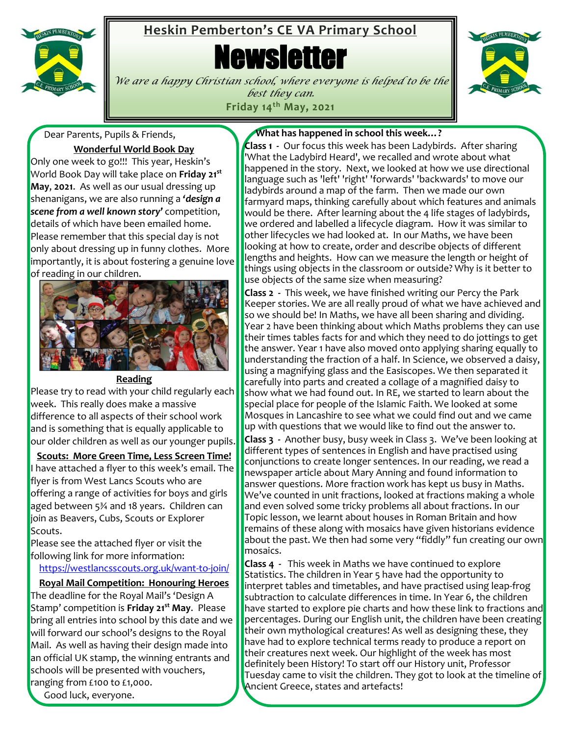

## **Heskin Pemberton's CE VA Primary School**

**Newsletter** 



*We are a happy Christian school, where everyone is helped to be the best they can.* **Friday 14th May, 2021**

Dear Parents, Pupils & Friends,

**Wonderful World Book Day**

Only one week to go!!! This year, Heskin's World Book Day will take place on **Friday 21st May**, **2021**. As well as our usual dressing up shenanigans, we are also running a *'design a scene from a well known story'* competition, details of which have been emailed home. Please remember that this special day is not only about dressing up in funny clothes. More importantly, it is about fostering a genuine love of reading in our children.



#### **Reading**

Please try to read with your child regularly each week. This really does make a massive difference to all aspects of their school work and is something that is equally applicable to our older children as well as our younger pupils.

**Scouts: More Green Time, Less Screen Time!** I have attached a flyer to this week's email. The flyer is from West Lancs Scouts who are offering a range of activities for boys and girls aged between 5¾ and 18 years. Children can join as Beavers, Cubs, Scouts or Explorer Scouts.

Please see the attached flyer or visit the following link for more information:

<https://westlancsscouts.org.uk/want-to-join/>

**Royal Mail Competition: Honouring Heroes**

The deadline for the Royal Mail's 'Design A Stamp' competition is **Friday 21st May**. Please bring all entries into school by this date and we will forward our school's designs to the Royal Mail. As well as having their design made into an official UK stamp, the winning entrants and schools will be presented with vouchers, ranging from £100 to £1,000.

Good luck, everyone.

#### **What has happened in school this week…?**

**Class 1 -** Our focus this week has been Ladybirds. After sharing 'What the Ladybird Heard', we recalled and wrote about what happened in the story. Next, we looked at how we use directional language such as 'left' 'right' 'forwards' 'backwards' to move our ladybirds around a map of the farm. Then we made our own farmyard maps, thinking carefully about which features and animals would be there. After learning about the 4 life stages of ladybirds, we ordered and labelled a lifecycle diagram. How it was similar to other lifecycles we had looked at. In our Maths, we have been looking at how to create, order and describe objects of different lengths and heights. How can we measure the length or height of things using objects in the classroom or outside? Why is it better to use objects of the same size when measuring?

**Class 2 -** This week, we have finished writing our Percy the Park Keeper stories. We are all really proud of what we have achieved and so we should be! In Maths, we have all been sharing and dividing. Year 2 have been thinking about which Maths problems they can use their times tables facts for and which they need to do jottings to get the answer. Year 1 have also moved onto applying sharing equally to understanding the fraction of a half. In Science, we observed a daisy, using a magnifying glass and the Easiscopes. We then separated it carefully into parts and created a collage of a magnified daisy to show what we had found out. In RE, we started to learn about the special place for people of the Islamic Faith. We looked at some Mosques in Lancashire to see what we could find out and we came up with questions that we would like to find out the answer to.

**Class 3 -** Another busy, busy week in Class 3. We've been looking at different types of sentences in English and have practised using conjunctions to create longer sentences. In our reading, we read a newspaper article about Mary Anning and found information to answer questions. More fraction work has kept us busy in Maths. We've counted in unit fractions, looked at fractions making a whole and even solved some tricky problems all about fractions. In our Topic lesson, we learnt about houses in Roman Britain and how remains of these along with mosaics have given historians evidence about the past. We then had some very "fiddly" fun creating our own mosaics.

 Ancient Greece, states and artefacts!**Class 4 -** This week in Maths we have continued to explore Statistics. The children in Year 5 have had the opportunity to interpret tables and timetables, and have practised using leap-frog subtraction to calculate differences in time. In Year 6, the children have started to explore pie charts and how these link to fractions and percentages. During our English unit, the children have been creating their own mythological creatures! As well as designing these, they have had to explore technical terms ready to produce a report on their creatures next week. Our highlight of the week has most definitely been History! To start off our History unit, Professor Tuesday came to visit the children. They got to look at the timeline of